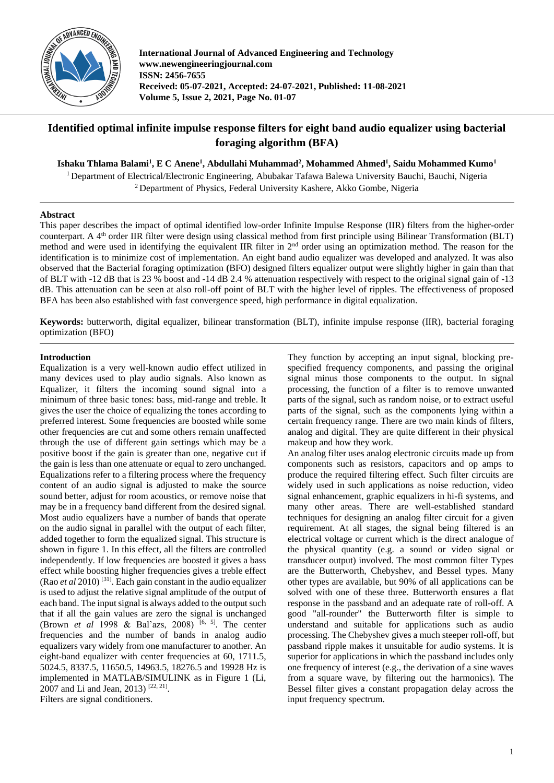

**International Journal of Advanced Engineering and Technology www.newengineeringjournal.com ISSN: 2456-7655 Received: 05-07-2021, Accepted: 24-07-2021, Published: 11-08-2021 Volume 5, Issue 2, 2021, Page No. 01-07**

# **Identified optimal infinite impulse response filters for eight band audio equalizer using bacterial foraging algorithm (BFA)**

**Ishaku Thlama Balami<sup>1</sup> , E C Anene<sup>1</sup> , Abdullahi Muhammad<sup>2</sup> , Mohammed Ahmed<sup>1</sup> , Saidu Mohammed Kumo<sup>1</sup>**

<sup>1</sup> Department of Electrical/Electronic Engineering, Abubakar Tafawa Balewa University Bauchi, Bauchi, Nigeria <sup>2</sup> Department of Physics, Federal University Kashere, Akko Gombe, Nigeria

# **Abstract**

This paper describes the impact of optimal identified low-order Infinite Impulse Response (IIR) filters from the higher-order counterpart. A 4<sup>th</sup> order IIR filter were design using classical method from first principle using Bilinear Transformation (BLT) method and were used in identifying the equivalent IIR filter in 2<sup>nd</sup> order using an optimization method. The reason for the identification is to minimize cost of implementation. An eight band audio equalizer was developed and analyzed. It was also observed that the Bacterial foraging optimization **(**BFO) designed filters equalizer output were slightly higher in gain than that of BLT with -12 dB that is 23 % boost and -14 dB 2.4 % attenuation respectively with respect to the original signal gain of -13 dB. This attenuation can be seen at also roll-off point of BLT with the higher level of ripples. The effectiveness of proposed BFA has been also established with fast convergence speed, high performance in digital equalization.

**Keywords:** butterworth, digital equalizer, bilinear transformation (BLT), infinite impulse response (IIR), bacterial foraging optimization (BFO)

# **Introduction**

Equalization is a very well-known audio effect utilized in many devices used to play audio signals. Also known as Equalizer, it filters the incoming sound signal into a minimum of three basic tones: bass, mid-range and treble. It gives the user the choice of equalizing the tones according to preferred interest. Some frequencies are boosted while some other frequencies are cut and some others remain unaffected through the use of different gain settings which may be a positive boost if the gain is greater than one, negative cut if the gain is less than one attenuate or equal to zero unchanged. Equalizations refer to a filtering process where the frequency content of an audio signal is adjusted to make the source sound better, adjust for room acoustics, or remove noise that may be in a frequency band different from the desired signal. Most audio equalizers have a number of bands that operate on the audio signal in parallel with the output of each filter, added together to form the equalized signal. This structure is shown in figure 1. In this effect, all the filters are controlled independently. If low frequencies are boosted it gives a bass effect while boosting higher frequencies gives a treble effect (Rao *et al* 2010) [31] . Each gain constant in the audio equalizer is used to adjust the relative signal amplitude of the output of each band. The input signal is always added to the output such that if all the gain values are zero the signal is unchanged (Brown *et al* 1998 & Bal'azs, 2008) [6, 5] . The center frequencies and the number of bands in analog audio equalizers vary widely from one manufacturer to another. An eight-band equalizer with center frequencies at 60, 1711.5, 5024.5, 8337.5, 11650.5, 14963.5, 18276.5 and 19928 Hz is implemented in MATLAB/SIMULINK as in Figure 1 (Li, 2007 and Li and Jean, 2013)<sup>[22, 21]</sup>. Filters are signal conditioners.

They function by accepting an input signal, blocking prespecified frequency components, and passing the original signal minus those components to the output. In signal processing, the function of a filter is to remove unwanted parts of the signal, such as random noise, or to extract useful parts of the signal, such as the components lying within a certain frequency range. There are two main kinds of filters, analog and digital. They are quite different in their physical makeup and how they work.

An analog filter uses analog electronic circuits made up from components such as resistors, capacitors and op amps to produce the required filtering effect. Such filter circuits are widely used in such applications as noise reduction, video signal enhancement, graphic equalizers in hi-fi systems, and many other areas. There are well-established standard techniques for designing an analog filter circuit for a given requirement. At all stages, the signal being filtered is an electrical voltage or current which is the direct analogue of the physical quantity (e.g. a sound or video signal or transducer output) involved. The most common filter Types are the Butterworth, Chebyshev, and Bessel types. Many other types are available, but 90% of all applications can be solved with one of these three. Butterworth ensures a flat response in the passband and an adequate rate of roll-off. A good "all-rounder" the Butterworth filter is simple to understand and suitable for applications such as audio processing. The Chebyshev gives a much steeper roll-off, but passband ripple makes it unsuitable for audio systems. It is superior for applications in which the passband includes only one frequency of interest (e.g., the derivation of a sine waves from a square wave, by filtering out the harmonics). The Bessel filter gives a constant propagation delay across the input frequency spectrum.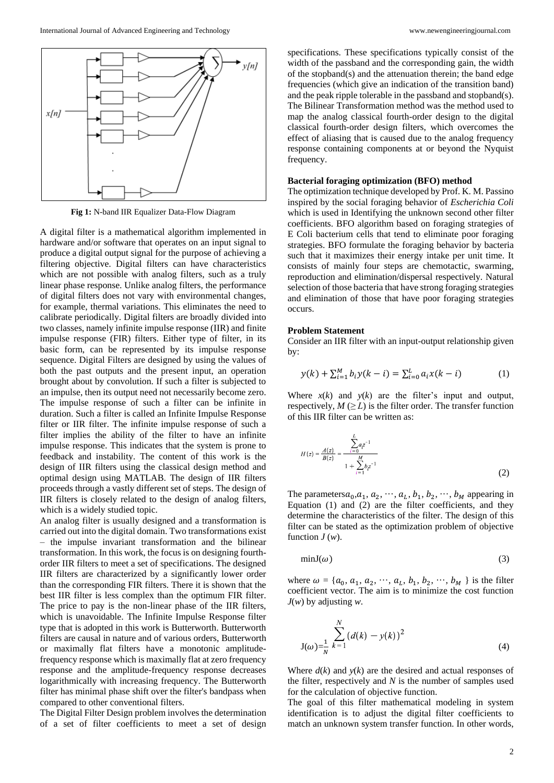

**Fig 1:** N-band IIR Equalizer Data-Flow Diagram

A digital filter is a mathematical algorithm implemented in hardware and/or software that operates on an input signal to produce a digital output signal for the purpose of achieving a filtering objective. Digital filters can have characteristics which are not possible with analog filters, such as a truly linear phase response. Unlike analog filters, the performance of digital filters does not vary with environmental changes, for example, thermal variations. This eliminates the need to calibrate periodically. Digital filters are broadly divided into two classes, namely infinite impulse response (IIR) and finite impulse response (FIR) filters. Either type of filter, in its basic form, can be represented by its impulse response sequence. Digital Filters are designed by using the values of both the past outputs and the present input, an operation brought about by convolution. If such a filter is subjected to an impulse, then its output need not necessarily become zero. The impulse response of such a filter can be infinite in duration. Such a filter is called an Infinite Impulse Response filter or IIR filter. The infinite impulse response of such a filter implies the ability of the filter to have an infinite impulse response. This indicates that the system is prone to feedback and instability. The content of this work is the design of IIR filters using the classical design method and optimal design using MATLAB. The design of IIR filters proceeds through a vastly different set of steps. The design of IIR filters is closely related to the design of analog filters, which is a widely studied topic.

An analog filter is usually designed and a transformation is carried out into the digital domain. Two transformations exist – the impulse invariant transformation and the bilinear transformation. In this work, the focus is on designing fourthorder IIR filters to meet a set of specifications. The designed IIR filters are characterized by a significantly lower order than the corresponding FIR filters. There it is shown that the best IIR filter is less complex than the optimum FIR filter. The price to pay is the non-linear phase of the IIR filters, which is unavoidable. The Infinite Impulse Response filter type that is adopted in this work is Butterworth. Butterworth filters are causal in nature and of various orders, Butterworth or maximally flat filters have a monotonic amplitudefrequency response which is maximally flat at zero frequency response and the amplitude-frequency response decreases logarithmically with increasing frequency. The Butterworth filter has minimal phase shift over the filter's bandpass when compared to other conventional filters.

The Digital Filter Design problem involves the determination of a set of filter coefficients to meet a set of design

specifications. These specifications typically consist of the width of the passband and the corresponding gain, the width of the stopband(s) and the attenuation therein; the band edge frequencies (which give an indication of the transition band) and the peak ripple tolerable in the passband and stopband(s). The Bilinear Transformation method was the method used to map the analog classical fourth-order design to the digital classical fourth-order design filters, which overcomes the effect of aliasing that is caused due to the analog frequency response containing components at or beyond the Nyquist frequency.

# **Bacterial foraging optimization (BFO) method**

The optimization technique developed by Prof. K. M. Passino inspired by the social foraging behavior of *Escherichia Coli*  which is used in Identifying the unknown second other filter coefficients. BFO algorithm based on foraging strategies of E Coli bacterium cells that tend to eliminate poor foraging strategies. BFO formulate the foraging behavior by bacteria such that it maximizes their energy intake per unit time. It consists of mainly four steps are chemotactic, swarming, reproduction and elimination/dispersal respectively. Natural selection of those bacteria that have strong foraging strategies and elimination of those that have poor foraging strategies occurs.

#### **Problem Statement**

Consider an IIR filter with an input-output relationship given by:

$$
y(k) + \sum_{i=1}^{M} b_i y(k - i) = \sum_{i=0}^{L} a_i x(k - i)
$$
 (1)

Where *x*(*k*) and *y*(*k*) are the filter's input and output, respectively,  $M \left( \geq L \right)$  is the filter order. The transfer function of this IIR filter can be written as:

$$
H(z) = \frac{A(z)}{B(z)} = \frac{\sum_{i=0}^{L} a_i z^{-1}}{1 + \sum_{i=1}^{M} b_i z^{-1}}
$$
(2)

The parameters  $a_0$ ,  $a_1$ ,  $a_2$ ,  $\dots$ ,  $a_L$ ,  $b_1$ ,  $b_2$ ,  $\dots$ ,  $b_M$  appearing in Equation (1) and (2) are the filter coefficients, and they determine the characteristics of the filter. The design of this filter can be stated as the optimization problem of objective function  $J(w)$ .

$$
\min J(\omega) \tag{3}
$$

where  $\omega = \{a_0, a_1, a_2, \dots, a_L, b_1, b_2, \dots, b_M\}$  is the filter coefficient vector. The aim is to minimize the cost function *J*(*w*) by adjusting *w*.

$$
J(\omega) = \frac{1}{N} \sum_{k=1}^{N} (d(k) - y(k))^2
$$
 (4)

Where  $d(k)$  and  $y(k)$  are the desired and actual responses of the filter, respectively and *N* is the number of samples used for the calculation of objective function.

The goal of this filter mathematical modeling in system identification is to adjust the digital filter coefficients to match an unknown system transfer function. In other words,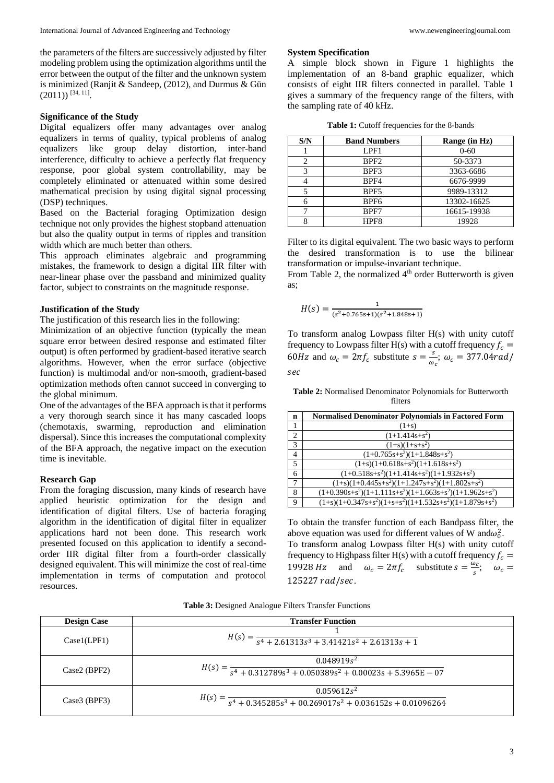the parameters of the filters are successively adjusted by filter modeling problem using the optimization algorithms until the error between the output of the filter and the unknown system is minimized (Ranjit & Sandeep, (2012), and Durmus & Gün  $(2011))$ <sup>[34, 11]</sup>.

# **Significance of the Study**

Digital equalizers offer many advantages over analog equalizers in terms of quality, typical problems of analog equalizers like group delay distortion, inter-band interference, difficulty to achieve a perfectly flat frequency response, poor global system controllability, may be completely eliminated or attenuated within some desired mathematical precision by using digital signal processing (DSP) techniques.

Based on the Bacterial foraging Optimization design technique not only provides the highest stopband attenuation but also the quality output in terms of ripples and transition width which are much better than others.

This approach eliminates algebraic and programming mistakes, the framework to design a digital IIR filter with near-linear phase over the passband and minimized quality factor, subject to constraints on the magnitude response.

### **Justification of the Study**

The justification of this research lies in the following:

Minimization of an objective function (typically the mean square error between desired response and estimated filter output) is often performed by gradient-based iterative search algorithms. However, when the error surface (objective function) is multimodal and/or non-smooth, gradient-based optimization methods often cannot succeed in converging to the global minimum.

One of the advantages of the BFA approach is that it performs a very thorough search since it has many cascaded loops (chemotaxis, swarming, reproduction and elimination dispersal). Since this increases the computational complexity of the BFA approach, the negative impact on the execution time is inevitable.

#### **Research Gap**

From the foraging discussion, many kinds of research have applied heuristic optimization for the design and identification of digital filters. Use of bacteria foraging algorithm in the identification of digital filter in equalizer applications hard not been done. This research work presented focused on this application to identify a secondorder IIR digital filter from a fourth-order classically designed equivalent. This will minimize the cost of real-time implementation in terms of computation and protocol resources.

#### **System Specification**

A simple block shown in Figure 1 highlights the implementation of an 8-band graphic equalizer, which consists of eight IIR filters connected in parallel. Table 1 gives a summary of the frequency range of the filters, with the sampling rate of 40 kHz.

|  | Table 1: Cutoff frequencies for the 8-bands |
|--|---------------------------------------------|
|--|---------------------------------------------|

| S/N | <b>Band Numbers</b> | Range (in Hz) |
|-----|---------------------|---------------|
|     | LPF1                | $0 - 60$      |
|     | BPF <sub>2</sub>    | 50-3373       |
| 2   | BPF3                | 3363-6686     |
|     | BPF4                | 6676-9999     |
|     | BPF <sub>5</sub>    | 9989-13312    |
|     | BPF <sub>6</sub>    | 13302-16625   |
|     | BPF7                | 16615-19938   |
|     | HPF <sub>8</sub>    | 19928         |

Filter to its digital equivalent. The two basic ways to perform the desired transformation is to use the bilinear transformation or impulse-invariant technique.

From Table 2, the normalized  $4<sup>th</sup>$  order Butterworth is given as;

$$
H(s) = \frac{1}{(s^2 + 0.765s + 1)(s^2 + 1.848s + 1)}
$$

To transform analog Lowpass filter H(s) with unity cutoff frequency to Lowpass filter H(s) with a cutoff frequency  $f_c =$ 60Hz and  $\omega_c = 2\pi f_c$  substitute  $s = \frac{s}{\omega}$  $\frac{s}{\omega_c}$ ;  $\omega_c = 377.04$ rad/ sec

**Table 2:** Normalised Denominator Polynomials for Butterworth filters

| n               | <b>Normalised Denominator Polynomials in Factored Form</b> |
|-----------------|------------------------------------------------------------|
|                 | $(1+s)$                                                    |
| 2               | $(1+1.414s+s^2)$                                           |
| $\overline{3}$  | $(1+s)(1+s+s^2)$                                           |
| $\overline{4}$  | $(1+0.765s+s^2)(1+1.848s+s^2)$                             |
| 5               | $(1+s)(1+0.618s+s^2)(1+1.618s+s^2)$                        |
| 6               | $(1+0.518s+s^2)(1+1.414s+s^2)(1+1.932s+s^2)$               |
| $7\phantom{.0}$ | $(1+s)(1+0.445s+s^2)(1+1.247s+s^2)(1+1.802s+s^2)$          |
| 8               | $(1+0.390s+s^2)(1+1.111s+s^2)(1+1.663s+s^2)(1+1.962s+s^2)$ |
| 9               | $(1+s)(1+0.347s+s^2)(1+s+s^2)(1+1.532s+s^2)(1+1.879s+s^2)$ |

To obtain the transfer function of each Bandpass filter, the above equation was used for different values of W and $\omega_0^2$ . To transform analog Lowpass filter H(s) with unity cutoff frequency to Highpass filter H(s) with a cutoff frequency  $f_c =$ 19928 Hz and  $\omega_c = 2\pi f_c$  substitute  $s = \frac{\omega_c}{s}$  $\frac{\omega_c}{s}$ ;  $\omega_c =$ 125227 rad/sec.

**Table 3:** Designed Analogue Filters Transfer Functions

| <b>Design Case</b> | <b>Transfer Function</b>                                                                      |
|--------------------|-----------------------------------------------------------------------------------------------|
| Case1(LPF1)        | $H(s) = \frac{s^4 + 2.61313s^3 + 3.41421s^2 + 2.61313s + 1}{s^4 + 2.61313s + 1}$              |
| Case2 (BPF2)       | $0.048919s^2$<br>$H(s) = \frac{1}{s^4 + 0.312789s^3 + 0.050389s^2 + 0.00023s + 5.3965E - 07}$ |
| Case3 (BPF3)       | $0.059612s^2$<br>$H(s) = \frac{1}{s^4 + 0.345285s^3 + 00.269017s^2 + 0.036152s + 0.01096264}$ |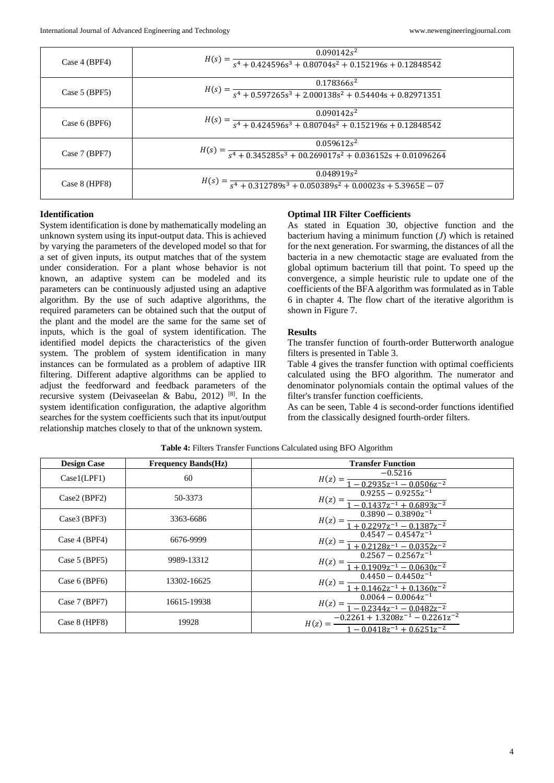| Case 4 (BPF4)       | 0.090142s <sup>2</sup><br>$H(s) = \frac{1}{s^4 + 0.424596s^3 + 0.80704s^2 + 0.152196s + 0.12848542}$   |
|---------------------|--------------------------------------------------------------------------------------------------------|
| Case 5 (BPF5)       | 0.178366s <sup>2</sup><br>$H(s) = \frac{1}{s^4 + 0.597265s^3 + 2.000138s^2 + 0.54404s + 0.82971351}$   |
| Case $6$ (BPF $6$ ) | 0.090142s <sup>2</sup><br>$H(s) = \frac{1}{s^4 + 0.424596s^3 + 0.80704s^2 + 0.152196s + 0.12848542}$   |
| Case 7 (BPF7)       | 0.059612s <sup>2</sup>                                                                                 |
| Case 8 (HPF8)       | 0.048919s <sup>2</sup><br>$H(s) = \frac{1}{s^4 + 0.312789s^3 + 0.050389s^2 + 0.00023s + 5.3965E - 07}$ |

# **Identification**

System identification is done by mathematically modeling an unknown system using its input-output data. This is achieved by varying the parameters of the developed model so that for a set of given inputs, its output matches that of the system under consideration. For a plant whose behavior is not known, an adaptive system can be modeled and its parameters can be continuously adjusted using an adaptive algorithm. By the use of such adaptive algorithms, the required parameters can be obtained such that the output of the plant and the model are the same for the same set of inputs, which is the goal of system identification. The identified model depicts the characteristics of the given system. The problem of system identification in many instances can be formulated as a problem of adaptive IIR filtering. Different adaptive algorithms can be applied to adjust the feedforward and feedback parameters of the recursive system (Deivaseelan & Babu, 2012)<sup>[8]</sup>. In the system identification configuration, the adaptive algorithm searches for the system coefficients such that its input/output relationship matches closely to that of the unknown system.

# **Optimal IIR Filter Coefficients**

As stated in Equation 30, objective function and the bacterium having a minimum function (*J*) which is retained for the next generation. For swarming, the distances of all the bacteria in a new chemotactic stage are evaluated from the global optimum bacterium till that point. To speed up the convergence, a simple heuristic rule to update one of the coefficients of the BFA algorithm was formulated as in Table 6 in chapter 4. The flow chart of the iterative algorithm is shown in Figure 7.

### **Results**

The transfer function of fourth-order Butterworth analogue filters is presented in Table 3.

Table 4 gives the transfer function with optimal coefficients calculated using the BFO algorithm. The numerator and denominator polynomials contain the optimal values of the filter's transfer function coefficients.

As can be seen, Table 4 is second-order functions identified from the classically designed fourth-order filters.

| <b>Design Case</b> | <b>Frequency Bands(Hz)</b> | <b>Transfer Function</b>                                                                    |
|--------------------|----------------------------|---------------------------------------------------------------------------------------------|
| Case1(LPF1)        | 60                         | $-0.5216$<br>$H(z) =$<br>$-0.2935z^{-1} - 0.0506z^{-2}$                                     |
| Case2 (BPF2)       | 50-3373                    | $0.9255 - 0.9255z^{-1}$<br>$H(z) =$<br>$-0.1437z^{-1} + 0.6893z^{-2}$                       |
| Case3 (BPF3)       | 3363-6686                  | $0.3890 - 0.3890z^{-1}$<br>$H(z) =$<br>$+$ 0.2297z <sup>-1</sup> - 0.1387z <sup>-2</sup>    |
| Case 4 (BPF4)      | 6676-9999                  | $0.4547 - 0.4547z^{-1}$<br>$H(z) =$<br>$+0.2128\overline{z^{-1}} - 0.0352\overline{z^{-2}}$ |
| Case $5$ (BPF5)    | 9989-13312                 | $0.2567 - 0.2567z^{-1}$<br>$H(z) =$<br>$+$ 0.1909z <sup>-1</sup> - 0.0630z <sup>-2</sup>    |
| Case 6 (BPF6)      | 13302-16625                | $0.4450 - 0.4450z^{-1}$<br>$H(z) =$<br>$+$ 0.1462z <sup>-1</sup> + 0.1360z <sup>-2</sup>    |
| Case 7 (BPF7)      | 16615-19938                | $0.0064 - 0.0064z^{-1}$<br>$H(z) =$<br>$-0.2344z^{-1} - 0.0482z^{-2}$                       |
| Case 8 (HPF8)      | 19928                      | $-0.2261 + 1.3208z^{-1} - 0.2261z^{-2}$<br>$H(z) =$<br>$-0.0418z^{-1} + 0.6251z^{-2}$       |

**Table 4:** Filters Transfer Functions Calculated using BFO Algorithm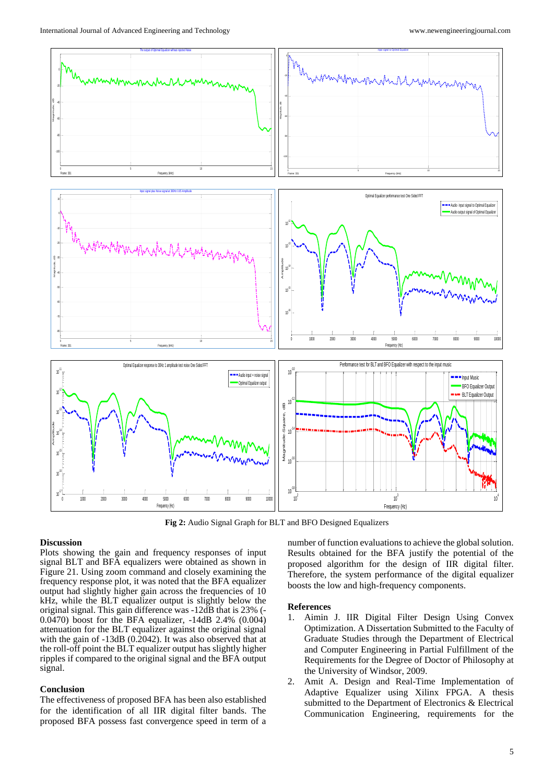

**Fig 2:** Audio Signal Graph for BLT and BFO Designed Equalizers

# **Discussion**

Plots showing the gain and frequency responses of input signal BLT and BFA equalizers were obtained as shown in Figure 21. Using zoom command and closely examining the frequency response plot, it was noted that the BFA equalizer output had slightly higher gain across the frequencies of 10 kHz, while the BLT equalizer output is slightly below the original signal. This gain difference was -12dB that is 23% (- 0.0470) boost for the BFA equalizer, -14dB 2.4% (0.004) attenuation for the BLT equalizer against the original signal with the gain of -13dB (0.2042). It was also observed that at the roll-off point the BLT equalizer output has slightly higher ripples if compared to the original signal and the BFA output signal.

# **Conclusion**

The effectiveness of proposed BFA has been also established for the identification of all IIR digital filter bands. The proposed BFA possess fast convergence speed in term of a

number of function evaluations to achieve the global solution. Results obtained for the BFA justify the potential of the proposed algorithm for the design of IIR digital filter. Therefore, the system performance of the digital equalizer boosts the low and high-frequency components.

#### **References**

- 1. Aimin J. IIR Digital Filter Design Using Convex Optimization. A Dissertation Submitted to the Faculty of Graduate Studies through the Department of Electrical and Computer Engineering in Partial Fulfillment of the Requirements for the Degree of Doctor of Philosophy at the University of Windsor, 2009.
- 2. Amit A. Design and Real-Time Implementation of Adaptive Equalizer using Xilinx FPGA. A thesis submitted to the Department of Electronics & Electrical Communication Engineering, requirements for the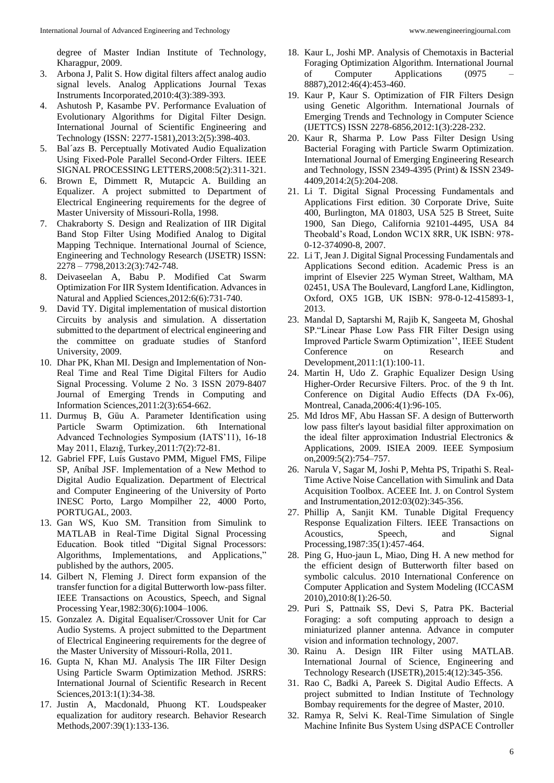degree of Master Indian Institute of Technology, Kharagpur, 2009.

- 3. Arbona J, Palit S. How digital filters affect analog audio signal levels. Analog Applications Journal Texas Instruments Incorporated,2010:4(3):389-393.
- 4. Ashutosh P, Kasambe PV. Performance Evaluation of Evolutionary Algorithms for Digital Filter Design. International Journal of Scientific Engineering and Technology (ISSN: 2277-1581),2013:2(5):398-403.
- 5. Bal´azs B. Perceptually Motivated Audio Equalization Using Fixed-Pole Parallel Second-Order Filters. IEEE SIGNAL PROCESSING LETTERS,2008:5(2):311-321.
- 6. Brown E, Dimmett R, Mutapcic A. Building an Equalizer. A project submitted to Department of Electrical Engineering requirements for the degree of Master University of Missouri-Rolla, 1998.
- 7. Chakraborty S. Design and Realization of IIR Digital Band Stop Filter Using Modified Analog to Digital Mapping Technique. International Journal of Science, Engineering and Technology Research (IJSETR) ISSN: 2278 – 7798,2013:2(3):742-748.
- 8. Deivaseelan A, Babu P. Modified Cat Swarm Optimization For IIR System Identification. Advances in Natural and Applied Sciences,2012:6(6):731-740.
- 9. David TY. Digital implementation of musical distortion Circuits by analysis and simulation. A dissertation submitted to the department of electrical engineering and the committee on graduate studies of Stanford University, 2009.
- 10. Dhar PK, Khan MI. Design and Implementation of Non-Real Time and Real Time Digital Filters for Audio Signal Processing. Volume 2 No. 3 ISSN 2079-8407 Journal of Emerging Trends in Computing and Information Sciences,2011:2(3):654-662.
- 11. Durmuş B, Güu A. Parameter Identification using Particle Swarm Optimization. 6th International Advanced Technologies Symposium (IATS'11), 16-18 May 2011, Elazığ, Turkey,2011:7(2):72-81.
- 12. Gabriel FPF, Luís Gustavo PMM, Miguel FMS, Filipe SP, Aníbal JSF. Implementation of a New Method to Digital Audio Equalization. Department of Electrical and Computer Engineering of the University of Porto INESC Porto, Largo Mompilher 22, 4000 Porto, PORTUGAL, 2003.
- 13. Gan WS, Kuo SM. Transition from Simulink to MATLAB in Real-Time Digital Signal Processing Education. Book titled "Digital Signal Processors: Algorithms, Implementations, and Applications," published by the authors, 2005.
- 14. Gilbert N, Fleming J. Direct form expansion of the transfer function for a digital Butterworth low-pass filter. IEEE Transactions on Acoustics, Speech, and Signal Processing Year,1982:30(6):1004–1006.
- 15. Gonzalez A. Digital Equaliser/Crossover Unit for Car Audio Systems. A project submitted to the Department of Electrical Engineering requirements for the degree of the Master University of Missouri-Rolla, 2011.
- 16. Gupta N, Khan MJ. Analysis The IIR Filter Design Using Particle Swarm Optimization Method. JSRRS: International Journal of Scientific Research in Recent Sciences,2013:1(1):34-38.
- 17. Justin A, Macdonald, Phuong KT. Loudspeaker equalization for auditory research. Behavior Research Methods,2007:39(1):133-136.
- 18. Kaur L, Joshi MP. Analysis of Chemotaxis in Bacterial Foraging Optimization Algorithm. International Journal of Computer Applications (0975 – 8887),2012:46(4):453-460.
- 19. Kaur P, Kaur S. Optimization of FIR Filters Design using Genetic Algorithm. International Journals of Emerging Trends and Technology in Computer Science (IJETTCS) ISSN 2278-6856,2012:1(3):228-232.
- 20. Kaur R, Sharma P. Low Pass Filter Design Using Bacterial Foraging with Particle Swarm Optimization. International Journal of Emerging Engineering Research and Technology, ISSN 2349-4395 (Print) & ISSN 2349- 4409,2014:2(5):204-208.
- 21. Li T. Digital Signal Processing Fundamentals and Applications First edition. 30 Corporate Drive, Suite 400, Burlington, MA 01803, USA 525 B Street, Suite 1900, San Diego, California 92101-4495, USA 84 Theobald's Road, London WC1X 8RR, UK ISBN: 978- 0-12-374090-8, 2007.
- 22. Li T, Jean J. Digital Signal Processing Fundamentals and Applications Second edition. Academic Press is an imprint of Elsevier 225 Wyman Street, Waltham, MA 02451, USA The Boulevard, Langford Lane, Kidlington, Oxford, OX5 1GB, UK ISBN: 978-0-12-415893-1, 2013.
- 23. Mandal D, Saptarshi M, Rajib K, Sangeeta M, Ghoshal SP."Linear Phase Low Pass FIR Filter Design using Improved Particle Swarm Optimization'', IEEE Student Conference on Research and Development,2011:1(1):100-11.
- 24. Martin H, Udo Z. Graphic Equalizer Design Using Higher-Order Recursive Filters. Proc. of the 9 th Int. Conference on Digital Audio Effects (DA Fx-06), Montreal, Canada,2006:4(1):96-105.
- 25. Md Idros MF, Abu Hassan SF. A design of Butterworth low pass filter's layout basidial filter approximation on the ideal filter approximation Industrial Electronics & Applications, 2009. ISIEA 2009. IEEE Symposium on,2009:5(2):754–757.
- 26. Narula V, Sagar M, Joshi P, Mehta PS, Tripathi S. Real-Time Active Noise Cancellation with Simulink and Data Acquisition Toolbox. ACEEE Int. J. on Control System and Instrumentation,2012:03(02):345-356.
- 27. Phillip A, Sanjit KM. Tunable Digital Frequency Response Equalization Filters. IEEE Transactions on Acoustics, Speech, and Signal Processing,1987:35(1):457-464.
- 28. Ping G, Huo-jaun L, Miao, Ding H. A new method for the efficient design of Butterworth filter based on symbolic calculus. 2010 International Conference on Computer Application and System Modeling (ICCASM 2010),2010:8(1):26-50.
- 29. Puri S, Pattnaik SS, Devi S, Patra PK. Bacterial Foraging: a soft computing approach to design a miniaturized planner antenna. Advance in computer vision and information technology, 2007.
- 30. Rainu A. Design IIR Filter using MATLAB. International Journal of Science, Engineering and Technology Research (IJSETR),2015:4(12):345-356.
- 31. Rao C, Badki A, Pareek S. Digital Audio Effects. A project submitted to Indian Institute of Technology Bombay requirements for the degree of Master, 2010.
- 32. Ramya R, Selvi K. Real-Time Simulation of Single Machine Infinite Bus System Using dSPACE Controller